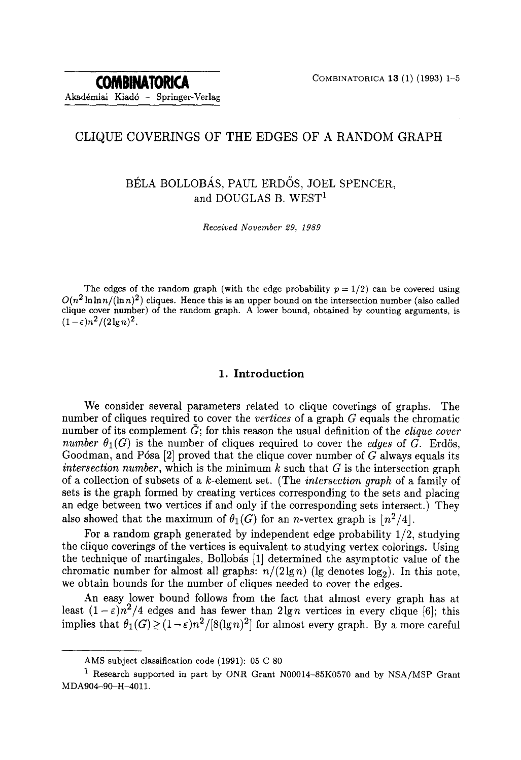# CLIQUE COVERINGS OF THE EDGES OF A RANDOM GRAPH

# BÉLA BOLLOBÁS, PAUL ERDŐS, JOEL SPENCER, and DOUGLAS B. WEST<sup>1</sup>

*Received November 29, 1989* 

The edges of the random graph (with the edge probability  $p = 1/2$ ) can be covered using  $O(n^2 \ln \ln n / (\ln n)^2)$  cliques. Hence this is an upper bound on the intersection number (also called clique cover number) of the random graph. A lower bound, obtained by counting arguments, is  $(1-\varepsilon)n^2/(2\lg n)^2$ .

### 1. Introduction

We consider several parameters related to clique coverings of graphs. The number of cliques required to cover the *vertices* of a graph G equals the chromatic number of its complement  $\bar{G}$ ; for this reason the usual definition of the *clique cover number*  $\theta_1(G)$  is the number of cliques required to cover the *edges* of G. Erdős, Goodman, and Pósa  $[2]$  proved that the clique cover number of G always equals its *intersection number,* which is the minimum  $k$  such that  $G$  is the intersection graph of a collection of subsets of a k-element set. (The *intersection graph* of a family of sets is the graph formed by creating vertices corresponding to the sets and placing an edge between two vertices if and only if the corresponding sets intersect.) They also showed that the maximum of  $\theta_1(G)$  for an *n*-vertex graph is  $\lfloor n^2/4 \rfloor$ .

For a random graph generated by independent edge probability 1/2, studying the clique coverings of the vertices is equivalent to studying vertex colorings. Using the technique of martingales, Bollobás [1] determined the asymptotic value of the chromatic number for almost all graphs:  $n/(2\lg n)$  (lg denotes  $\log_2$ ). In this note, we obtain bounds for the number of cliques needed to cover the edges.

An easy lower bound follows from the fact that almost every graph has at least  $(1 - \varepsilon)n^2/4$  edges and has fewer than  $2\lg n$  vertices in every clique [6]; this implies that  $\theta_1(G) > (1-\varepsilon)n^2/[8(\lg n)^2]$  for almost every graph. By a more careful

AMS subject classification code (1991): 05 C 80

<sup>1</sup> Research supported in part by ONR Grant N00014-85K0570 and by NSA/MSP Grant MDA904-90-H-4011.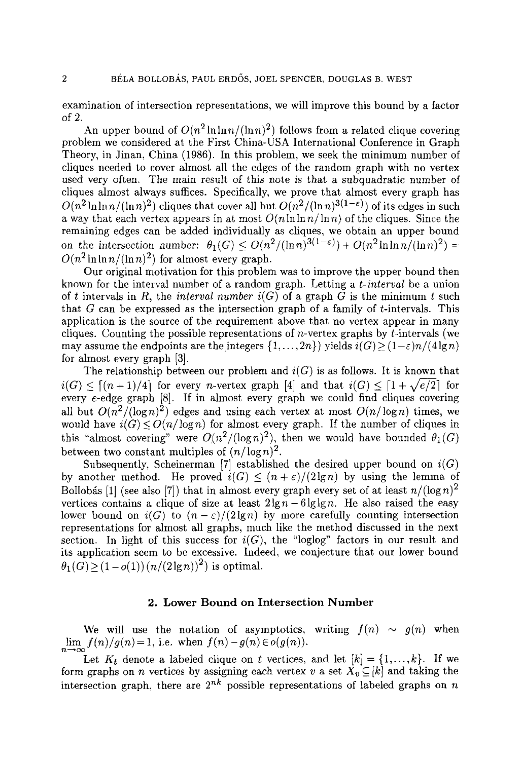examination of intersection representations, we will improve this bound by a factor of 2.

An upper bound of  $O(n^2 \ln \ln n/(\ln n)^2)$  follows from a related clique covering problem we considered at the First China-USA International Conference in Graph Theory, in Jinan, China (1986). In this problem, we seek the minimum number of cliques needed to cover almost all the edges of the random graph with no vertex used very often. The main result of this note is that a subquadratic number of cliques almost always suffices. Specifically, we prove that almost every graph has  $O(n^2 \ln \ln n / (\ln n)^2)$  cliques that cover all but  $O(n^2 / (\ln n)^{3(1-\epsilon)})$  of its edges in such a way that each vertex appears in at most  $O(n \ln \ln n / \ln n)$  of the cliques. Since the remaining edges can be added individually as cliques, we obtain an upper bound on the intersection number:  $\theta_1(G) \leq O(n^2/(\ln n)^{3(1-\epsilon)}) + O(n^2 \ln \ln n/(\ln n)^2) =$  $O(n^2 \ln \ln n / (\ln n)^2)$  for almost every graph.

Our original motivation for this problem was to improve the upper bound then known for the interval number of a random graph. Letting a *t-interval* be a union of t intervals in R, the *interval number*  $i(G)$  of a graph G is the minimum t such that  $G$  can be expressed as the intersection graph of a family of  $t$ -intervals. This application is the source of the requirement above that no vertex appear in many cliques. Counting the possible representations of *n*-vertex graphs by  $t$ -intervals (we may assume the endpoints are the integers  $\{1,\ldots,2n\}$  yields  $i(G) \ge (1-\varepsilon)n/(4 \lg n)$ for almost every graph [3].

The relationship between our problem and  $i(G)$  is as follows. It is known that  $i(G) \leq [(n+1)/4]$  for every *n*-vertex graph [4] and that  $i(G) \leq [1 + \sqrt{e/2}]$  for every e-edge graph [8]. If in almost every graph we could find cliques covering all but  $O(n^2/(\log n)^2)$  edges and using each vertex at most  $O(n/\log n)$  times, we would have  $i(G) \le O(n/\log n)$  for almost every graph. If the number of cliques in this "almost covering" were  $O(n^2/(\log n)^2)$ , then we would have bounded  $\theta_1(G)$ between two constant multiples of  $(n/\log n)^2$ .

Subsequently, Scheinerman [7] established the desired upper bound on  $i(G)$ by another method. He proved  $i(G) \leq (n + \varepsilon)/(2 \lg n)$  by using the lemma of Bollobás [1] (see also [7]) that in almost every graph every set of at least  $n/(\log n)^2$ vertices contains a clique of size at least  $2\lg n - 6\lg\lg n$ . He also raised the easy lower bound on  $i(G)$  to  $(n-\varepsilon)/(2\lg n)$  by more carefully counting intersection representations for almost all graphs, much like the method discussed in the next section. In light of this success for  $i(G)$ , the "loglog" factors in our result and its application seem to be excessive. Indeed, we conjecture that our lower bound  $\theta_1(G) > (1 - o(1)) (n/(2 \lg n))^2$  is optimal.

### **2. Lower Bound on Intersection Number**

We will use the notation of asymptotics, writing  $f(n) \sim g(n)$  when  $\lim_{n\to\infty}f(n)/g(n) = 1$ , i.e. when  $f(n)-g(n) \in o(g(n))$ .

Let  $K_t$  denote a labeled clique on t vertices, and let  $[k] = \{1, \ldots, k\}$ . If we form graphs on n vertices by assigning each vertex v a set  $X_v \subseteq [k]$  and taking the intersection graph, there are  $2^{nk}$  possible representations of labeled graphs on n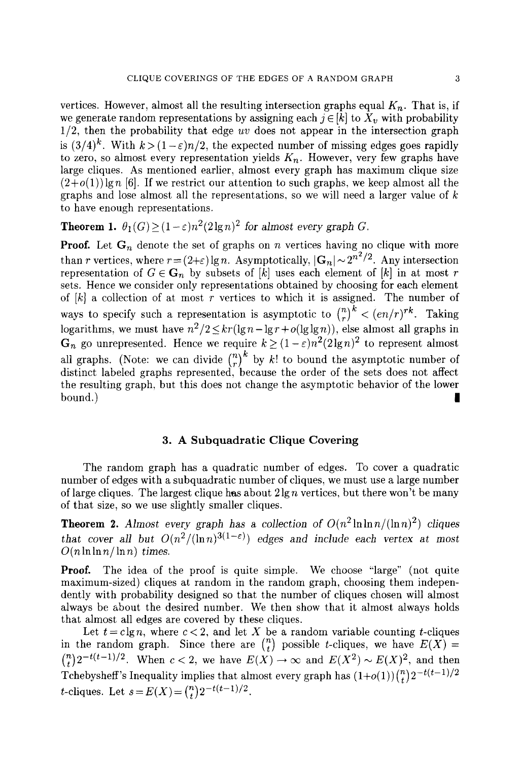vertices. However, almost all the resulting intersection graphs equal  $K_n$ . That is, if we generate random representations by assigning each  $j \in [k]$  to  $X_v$  with probability 1/2, then the probability that edge *uv* does not appear in the intersection graph is  $(3/4)^k$ . With  $k > (1 - \varepsilon)n/2$ , the expected number of missing edges goes rapidly to zero, so almost every representation yields  $K_n$ . However, very few graphs have large cliques. As mentioned earlier, almost every graph has maximum clique size  $(2+o(1))$  gn [6]. If we restrict our attention to such graphs, we keep almost all the graphs and lose almost all the representations, so we will need a larger value of  $k$ to have enough representations.

**Theorem 1.**  $\theta_1(G) > (1 - \varepsilon)n^2(2\lg n)^2$  *for almost every graph G.* 

**Proof.** Let  $G_n$  denote the set of graphs on n vertices having no clique with more than r vertices, where  $r = (2+\varepsilon) \lg n$ . Asymptotically,  $|\mathbf{G}_n| \sim 2^{n^2/2}$ . Any intersection representation of  $G \in \mathbf{G}_n$  by subsets of  $[k]$  uses each element of  $[k]$  in at most r sets. Hence we consider only representations obtained by choosing for each element of  $[k]$  a collection of at most r vertices to which it is assigned. The number of ways to specify such a representation is asymptotic to  $\binom{n}{r}^k < (en/r)^{rk}$ . Taking logarithms, we must have  $n^2/2 \le kr(\lg n - \lg r + o(\lg \lg n))$ , else almost all graphs in  $G_n$  go unrepresented. Hence we require  $k \ge (1 - \varepsilon)n^2(2\lg n)^2$  to represent almost all graphs. (Note: we can divide  $\binom{n}{k}^{\infty}$  by k! to bound the asymptotic number of distinct labeled graphs represented, because the order of the sets does not affect the resulting graph, but this does not change the asymptotic behavior of the lower bound.) |

## **3. A Subquadratic Clique Covering**

The random graph has a quadratic number of edges. To cover a quadratic number of edges with a subquadratic number of cliques, we must use a large number of large cliques. The largest clique has about  $2 \lg n$  vertices, but there won't be many of that size, so we use slightly smaller cliques.

**Theorem 2.** *Almost every graph has a collection of*  $O(n^2 \ln \ln n / (\ln n)^2)$  *cliques that cover all but*  $O(n^2/(\ln n)^{3(1-\epsilon)})$  *edges and include each vertex at most*  $O(n \ln \ln n / \ln n)$  times.

**Proof.** The idea of the proof is quite simple. We choose "large" (not quite maximum-sized) cliques at random in the random graph, choosing them independently with probability designed so that the number of cliques chosen will almost always be about the desired number. We then show that it almost always holds that almost all edges are covered by these cliques.

Let  $t = c \lg n$ , where  $c < 2$ , and let X be a random variable counting t-cliques in the random graph. Since there are  $\binom{n}{t}$  possible *t*-cliques, we have  $E(X)$  =  $\binom{n}{k}2^{-t(t-1)/2}$ . When  $c < 2$ , we have  $E(X) \to \infty$  and  $E(X^2) \sim E(X)^2$ , and then Tchebysheff's Inequality implies that almost every graph has  $(1+o(1))\binom{n}{t}2^{-t(t-1)/2}$ *t*-cliques. Let  $s = E(X) = {n \choose t} 2^{-t(t-1)/2}$ .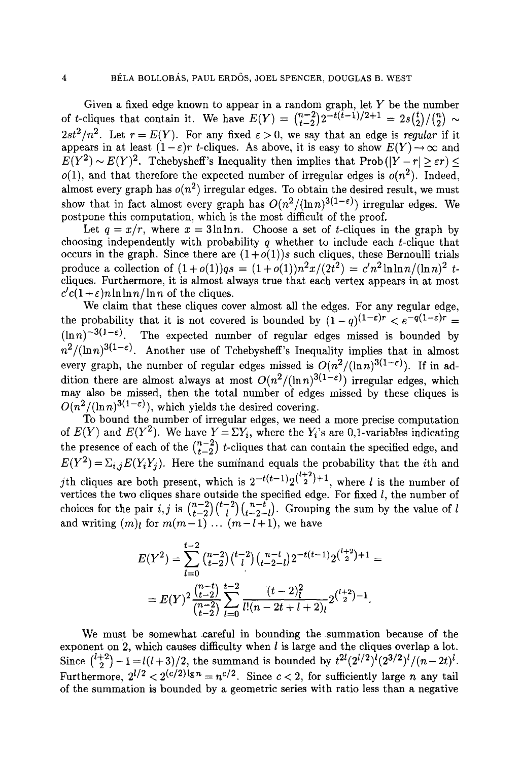Given a fixed edge known to appear in a random graph, let  $Y$  be the number of *t*-cliques that contain it. We have  $E(Y) = {n-2 \choose t-2} 2^{-t(t-1)/2+1} = 2s\binom{t}{2}/\binom{n}{2} \sim$ 2st<sup>2</sup>/n<sup>2</sup>. Let  $r = E(Y)$ . For any fixed  $\varepsilon > 0$ , we say that an edge is *regular* if it appears in at least  $(1 - \varepsilon)r$  t-cliques. As above, it is easy to show  $E(Y) \rightarrow \infty$  and  $E(Y^2) \sim E(Y)^2$ . Tchebysheff's Inequality then implies that Prob( $|Y - r| \geq \varepsilon r$ ) <  $o(1)$ , and that therefore the expected number of irregular edges is  $o(n^2)$ . Indeed, almost every graph has  $o(n^2)$  irregular edges. To obtain the desired result, we must show that in fact almost every graph has  $O(n^2/(\ln n)^{3(1-\epsilon)})$  irregular edges. We postpone this computation, which is the most difficult of the proof.

Let  $q = x/r$ , where  $x = 3 \ln \ln n$ . Choose a set of *t*-cliques in the graph by choosing independently with probability q whether to include each  $t$ -clique that occurs in the graph. Since there are  $(1+o(1))s$  such cliques, these Bernoulli trials produce a collection of  $(1+o(1))qs = (1+o(1))n^2x/(2t^2) = c'n^2\ln\ln n/(\ln n)^2 t$ cliques. Furthermore, it is almost always true that each vertex appears in at most  $c'(c(1+\varepsilon)n\ln\ln n/\ln n$  of the cliques.

We claim that these cliques cover almost all the edges. For any regular edge, the probability that it is not covered is bounded by  $(1-q)^{(1-\varepsilon)r} < e^{-q(1-\varepsilon)r} =$ <br> $(\ln n)^{-3(1-\varepsilon)}$ . The expected number of regular edges missed is bounded by The expected number of regular edges missed is bounded by  $n^2/(\ln n)^{3(1-\epsilon)}$ . Another use of Tchebysheff's Inequality implies that in almost every graph, the number of regular edges missed is  $O(n^2/(\ln n)^{3(1-\epsilon)})$ . If in addition there are almost always at most  $O(n^2/(\ln n)^{3(1-\epsilon)})$  irregular edges, which may also be missed, then the total number of edges missed by these cliques is  $O(n^2/(\ln n)^{3(1-\epsilon)})$ , which yields the desired covering.

To bound the number of irregular edges, we need a more precise computation of  $E(Y)$  and  $E(Y^2)$ . We have  $Y = \Sigma Y_i$ , where the  $Y_i$ 's are 0,1-variables indicating the presence of each of the  $\binom{n-2}{t-2}$  t-cliques that can contain the specified edge, and  $E(Y^2) = \sum_{i,j} E(Y_i Y_j)$ . Here the summand equals the probability that the *i*th and jth cliques are both present, which is  $2^{-t(t-1)}2^{\binom{l+2}{2}+1}$ , where *l* is the number of vertices the two cliques share outside the specified edge. For fixed  $l$ , the number of choices for the pair *i,j* is  $\binom{n-2}{t-2}\binom{n-t}{t-2-1}$ . Grouping the sum by the value of l and writing  $(m)_l$  for  $m(m-1)$   $\ldots$   $(m-l+1)$ , we have

$$
E(Y^{2}) = \sum_{l=0}^{t-2} {n-2 \choose t-2} {t-2 \choose l}{n-t \choose t-2-l} 2^{-t(t-1)} 2^{t+2 \choose 2} + 1 =
$$
  
= 
$$
E(Y)^{2} \frac{{n-t \choose t-2}}{{{n-t \choose t-2}}} \sum_{l=0}^{t-2} \frac{(t-2)^{2 \choose l}}{{l!(n-2t+l+2) \choose 2}} 2^{t+2 \choose 2} - 1.
$$

We must be somewhat careful in bounding the summation because of the exponent on 2, which causes difficulty when  $l$  is large and the cliques overlap a lot. Since  $\binom{l+2}{2} - 1 = l(l+3)/2$ , the summand is bounded by  $t^{2l}(2^{l/2})^l(2^{3/2})^l/(n-2t)^l$ . Furthermore,  $2^{l/2} < 2^{(c/2) \lg n} = n^{c/2}$ . Since  $c < 2$ , for sufficiently large *n* any tail of the summation is bounded by a geometric series with ratio less than a negative